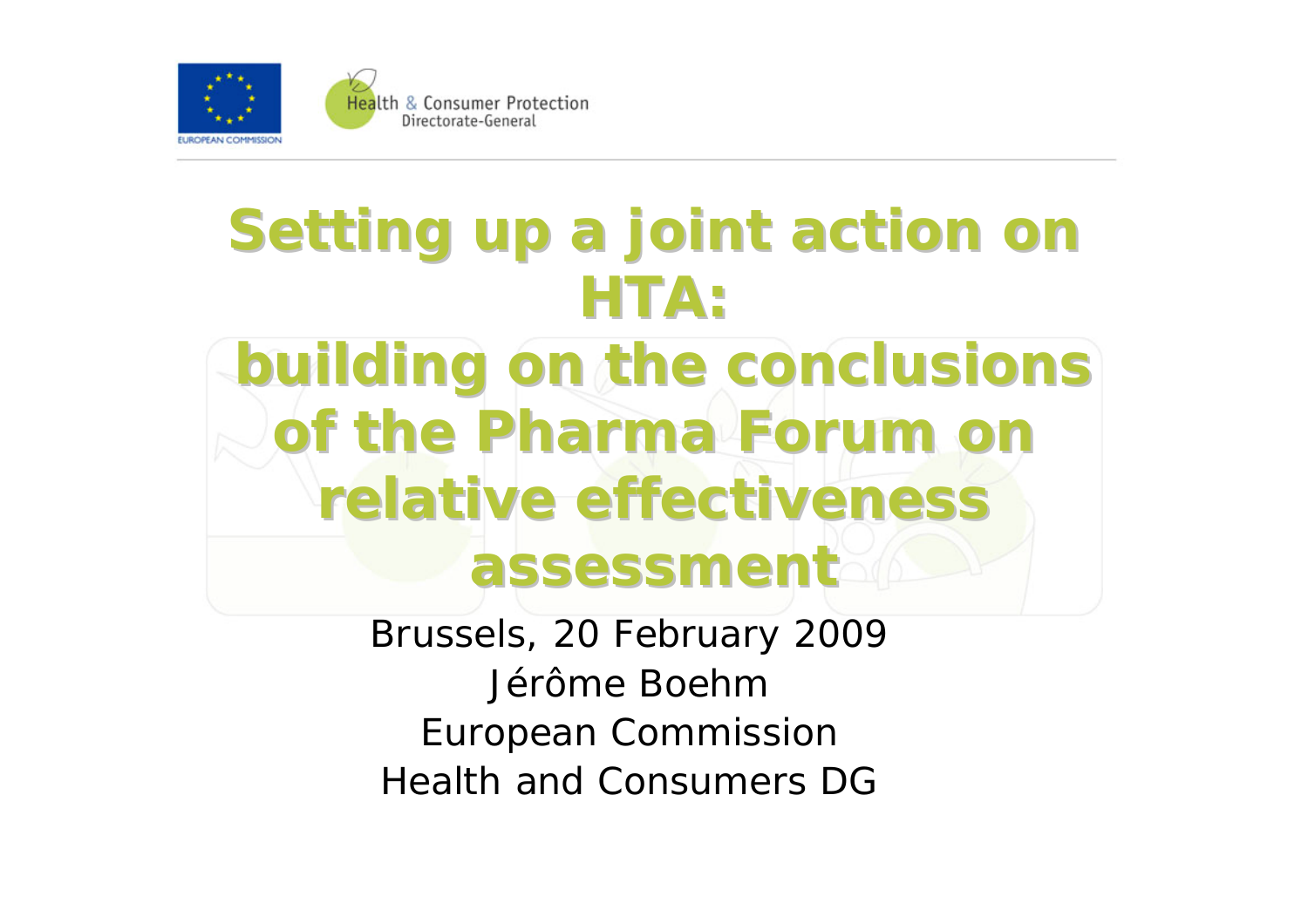

## **Setting up a joint action on HTA:**

## **building on the conclusions building on the conclusions of the Pharma Forum on of the Pharma Forum on relative effectiveness assessment assessment**

Brussels, 20 February 2009 Jérôme BoehmEuropean Commission Health and Consumers DG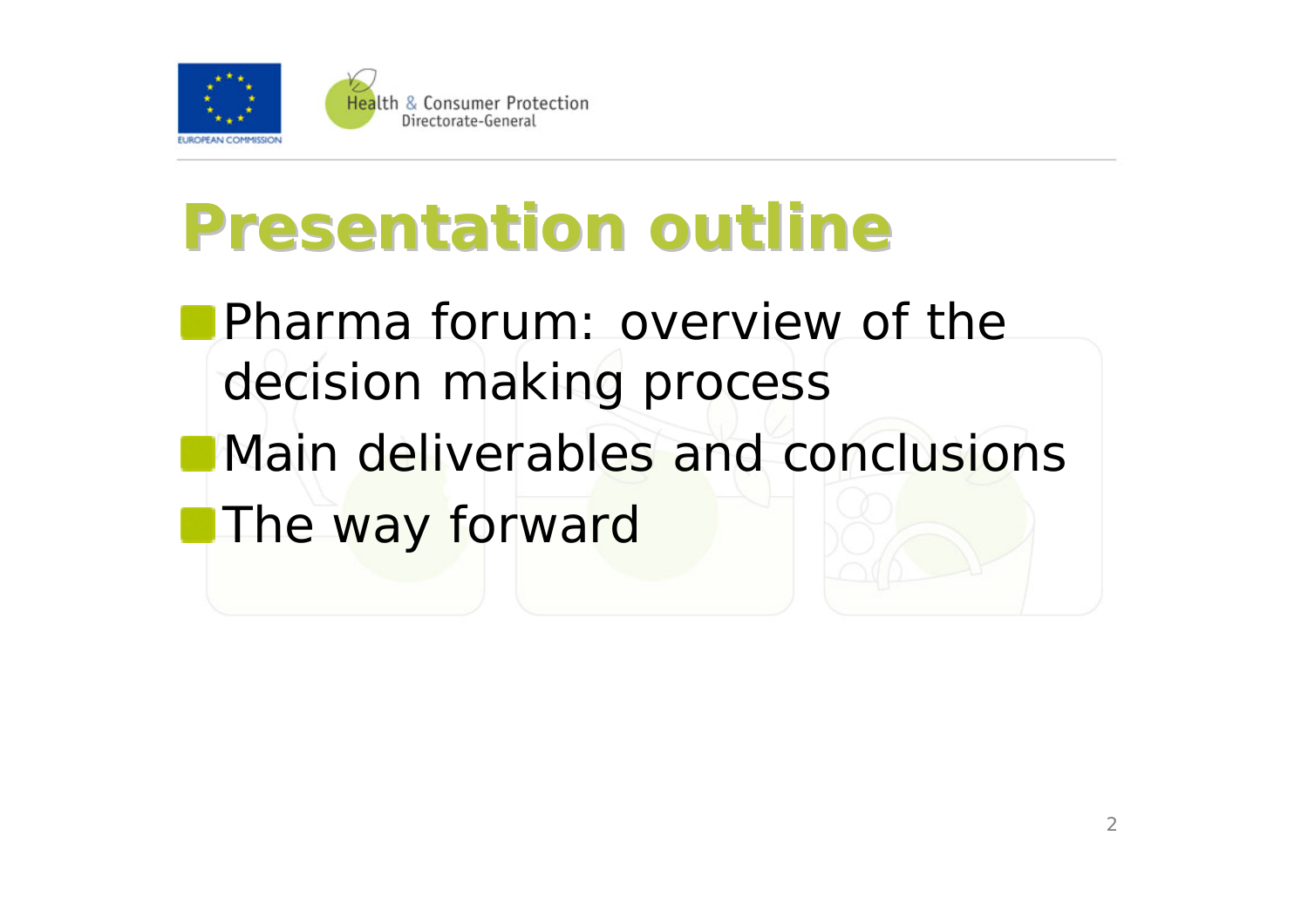

## **Presentation outline Presentation outline**

**Pharma forum: overview of the** decision making process Main deliverables and conclusions**The way forward**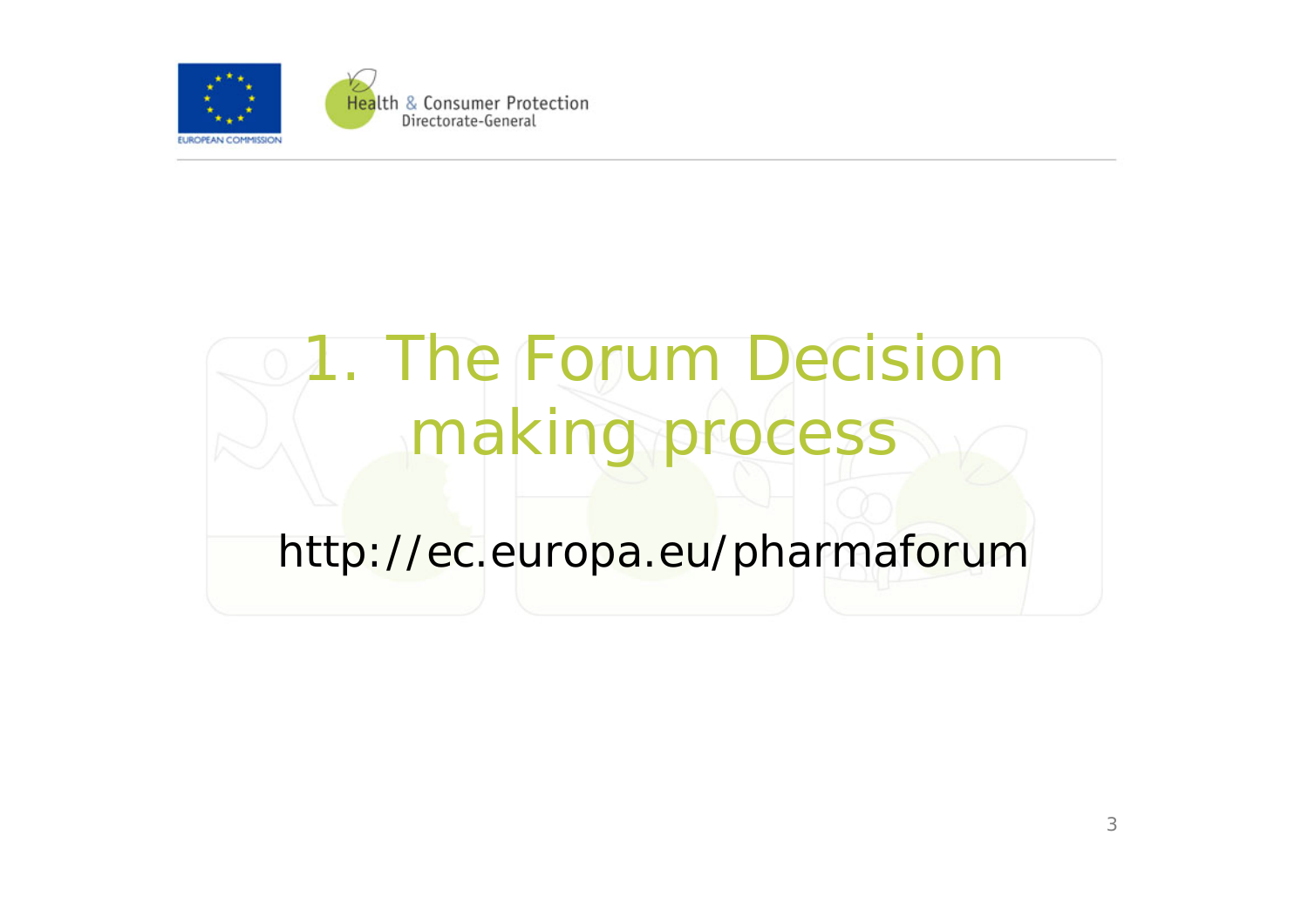

# 1. The Forum Decision making process

#### http://ec.europa.eu/pharmaforum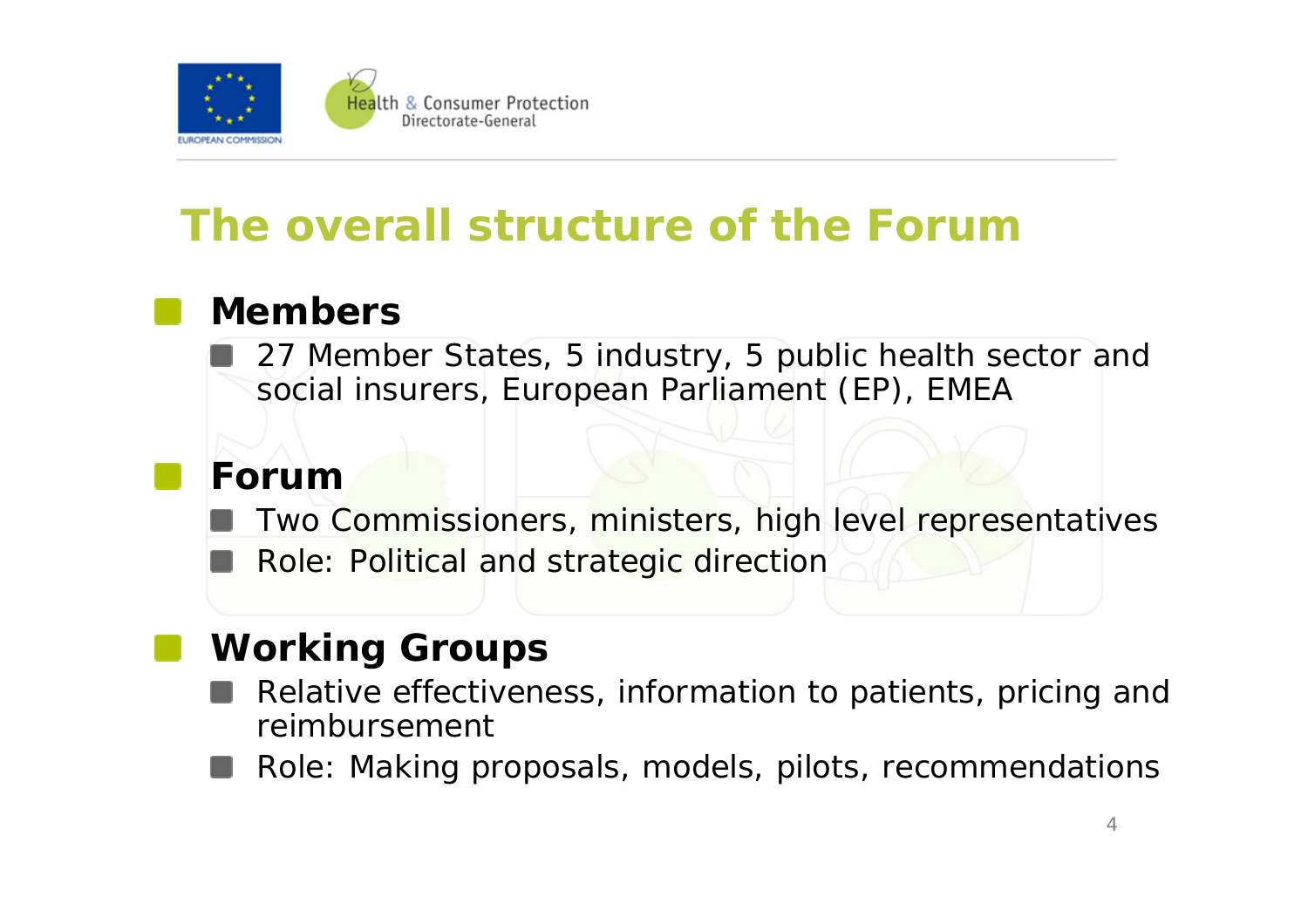

#### **The overall structure of the Forum**

#### **Members**

27 Member States, 5 industry, 5 public health sector and social insurers, European Parliament (EP), EMEA

#### **Forum**

Two Commissioners, ministers, high level representatives

Role: Political and strategic direction

#### **Working Groups**

- Relative effectiveness, information to patients, pricing and reimbursement
- Role: Making proposals, models, pilots, recommendations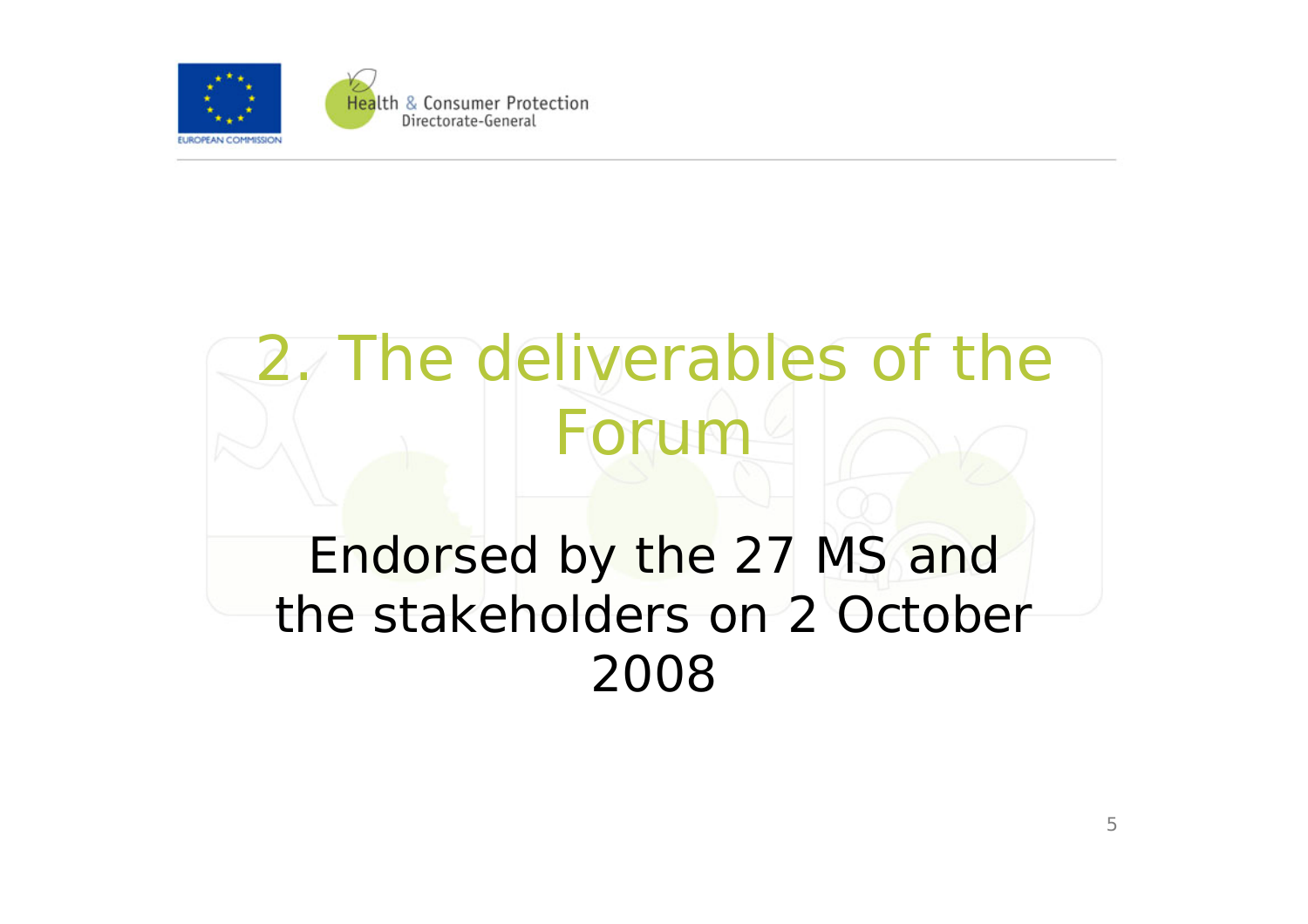

## 2. The deliverables of the Forum

### Endorsed by the 27 MS and the stakeholders on 2 October 2008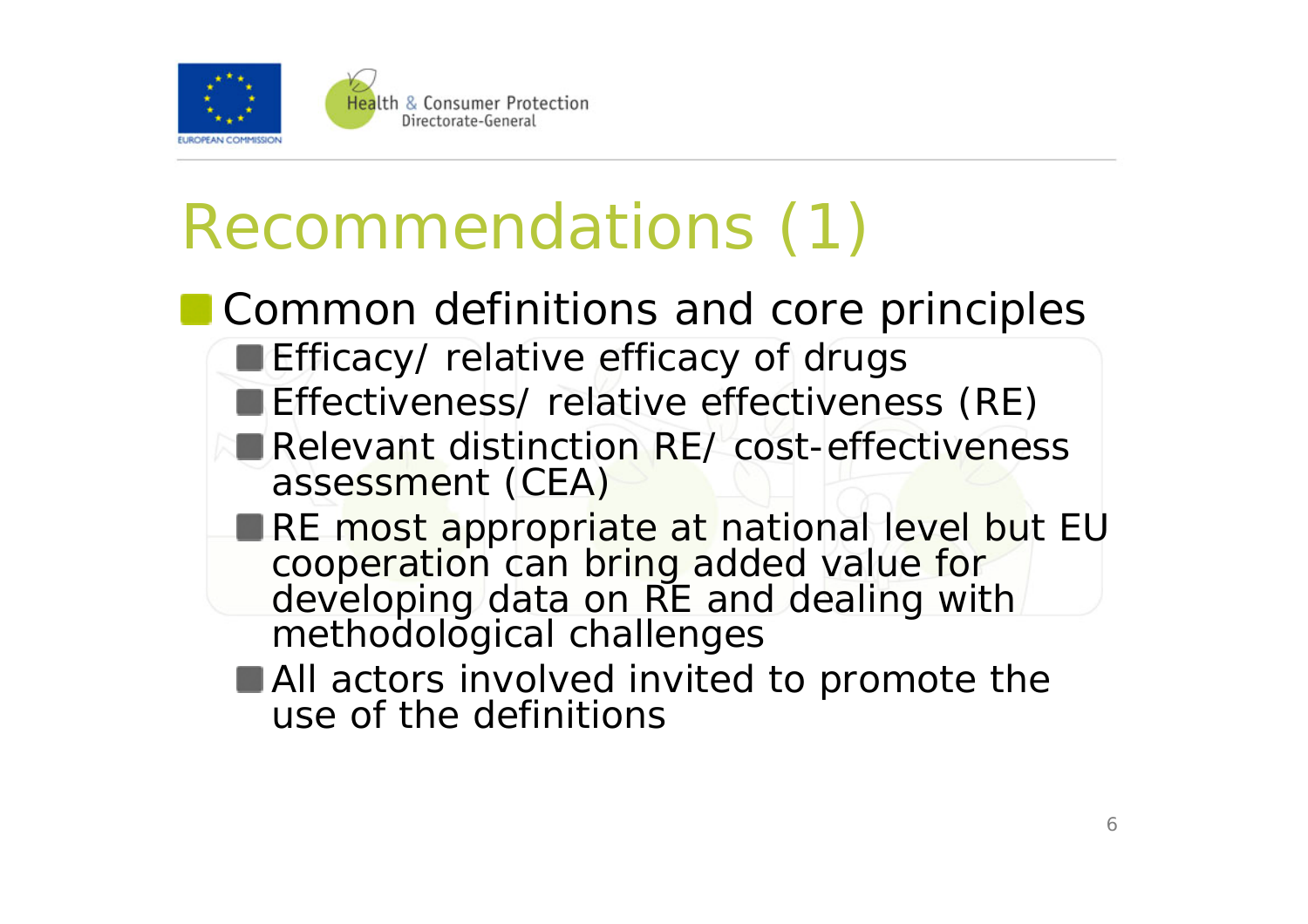

# Recommendations (1)

- **Common definitions and core principles Efficacy/ relative efficacy of drugs Effectiveness/ relative effectiveness (RE)** Relevant distinction RE/ cost-effectiveness assessment (CEA) RE most appropriate at national level but EU cooperation can bring added value for developing data on RE and dealing with methodological challenges **All actors involved invited to promote the** 
	- use of the definitions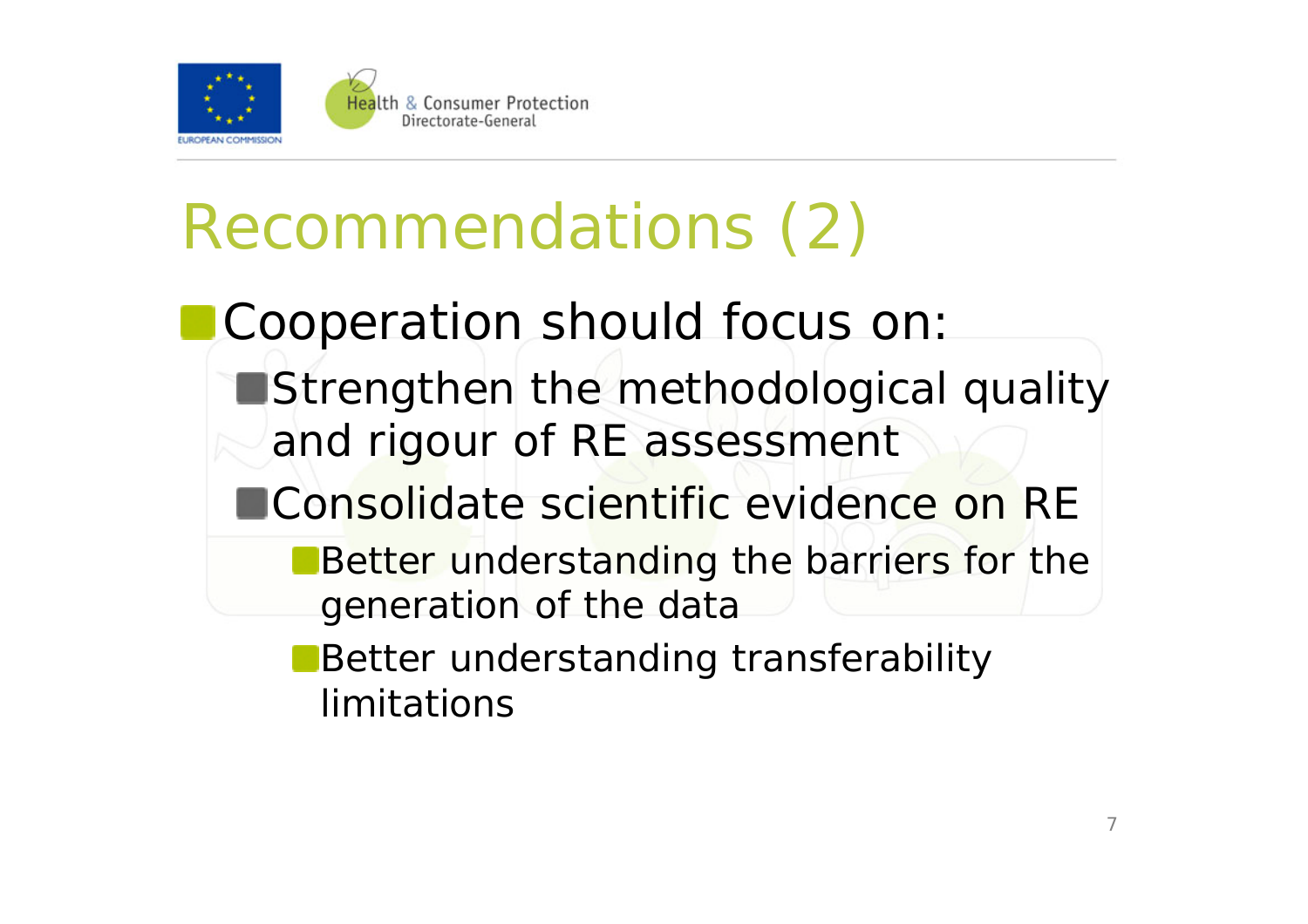

# Recommendations (2)

Cooperation should focus on:

**Strengthen the methodological quality** and rigour of RE assessment

■Consolidate scientific evidence on RE

- **Better understanding the barriers for the** generation of the data
- **Better understanding transferability** limitations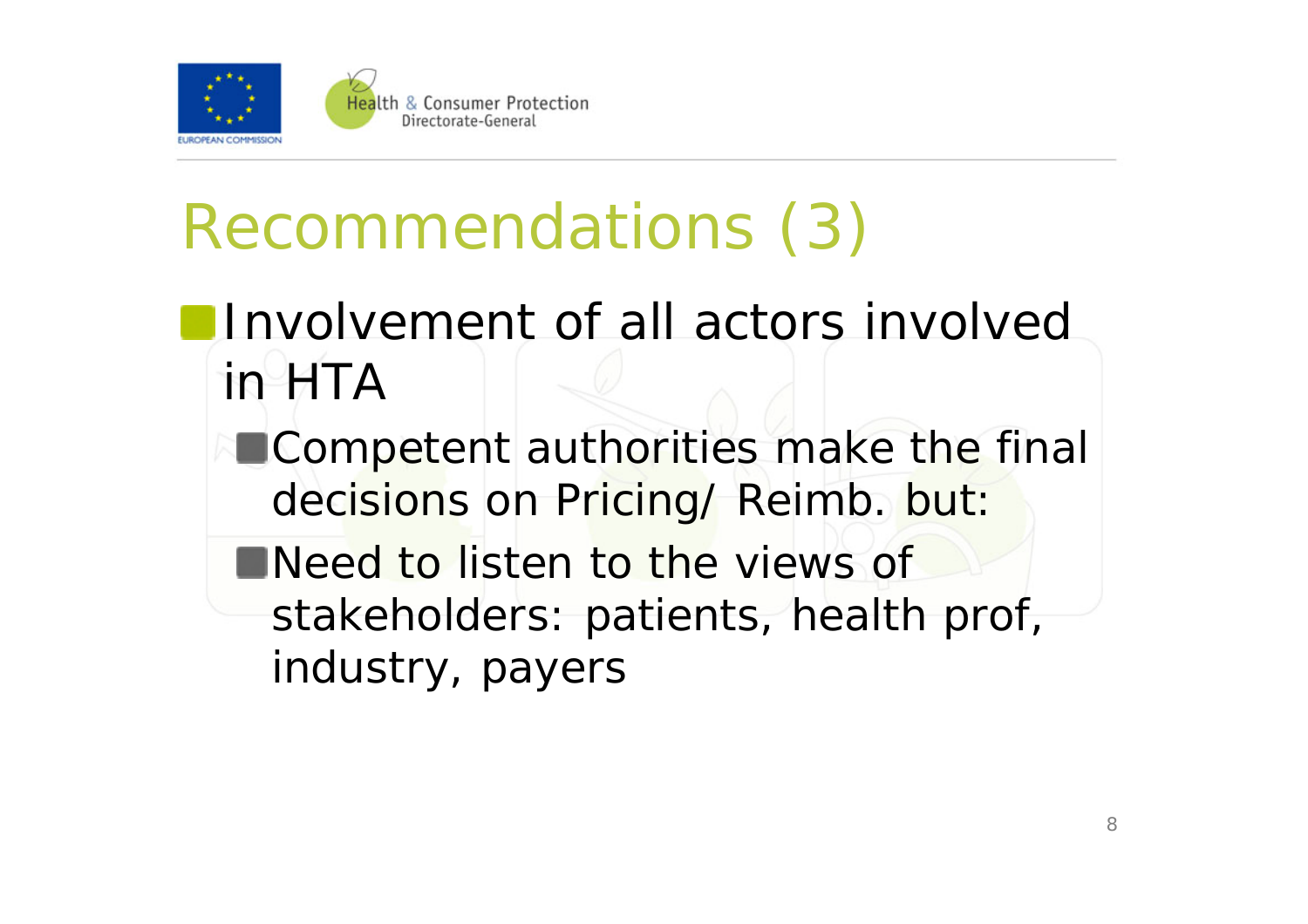

# Recommendations (3)

- **Involvement of all actors involved** in HTA
	- **Competent authorities make the final** decisions on Pricing/ Reimb. but:
	- **Need to listen to the views of** stakeholders: patients, health prof, industry, payers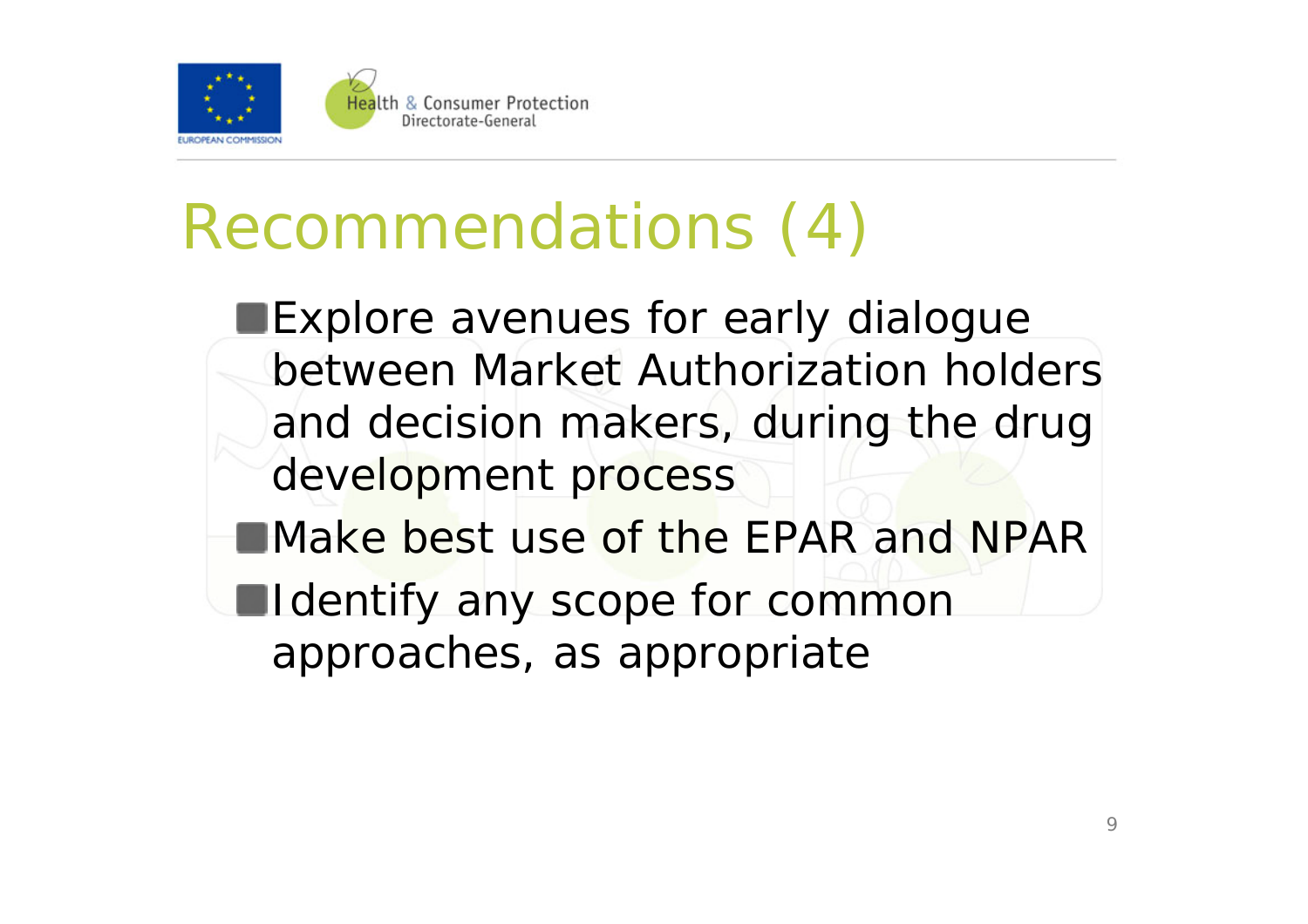

## Recommendations (4)

**Explore avenues for early dialogue** between Market Authorization holders and decision makers, during the drug development process **EMake best use of the EPAR and NPAR** 

**Indentify any scope for common** approaches, as appropriate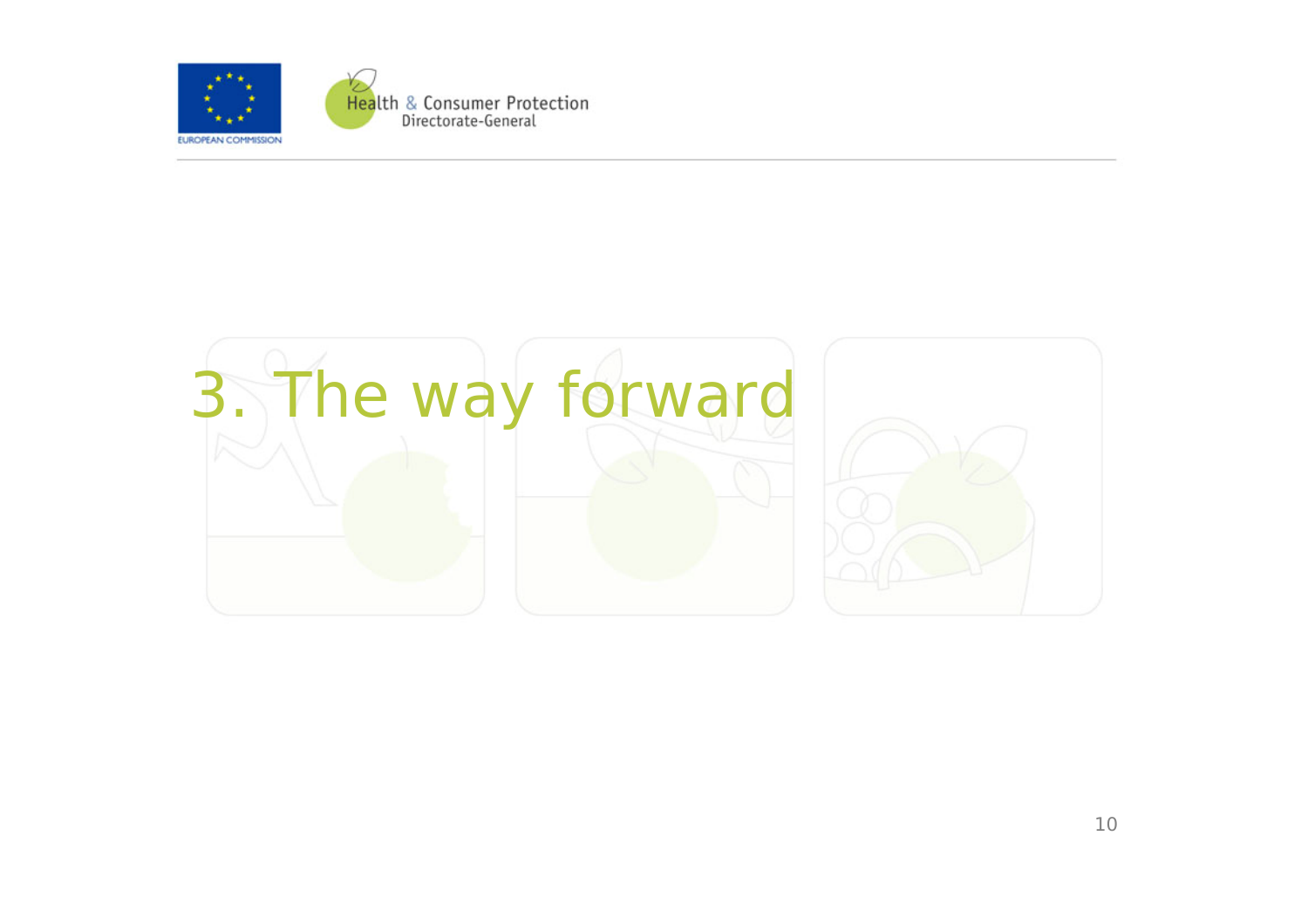

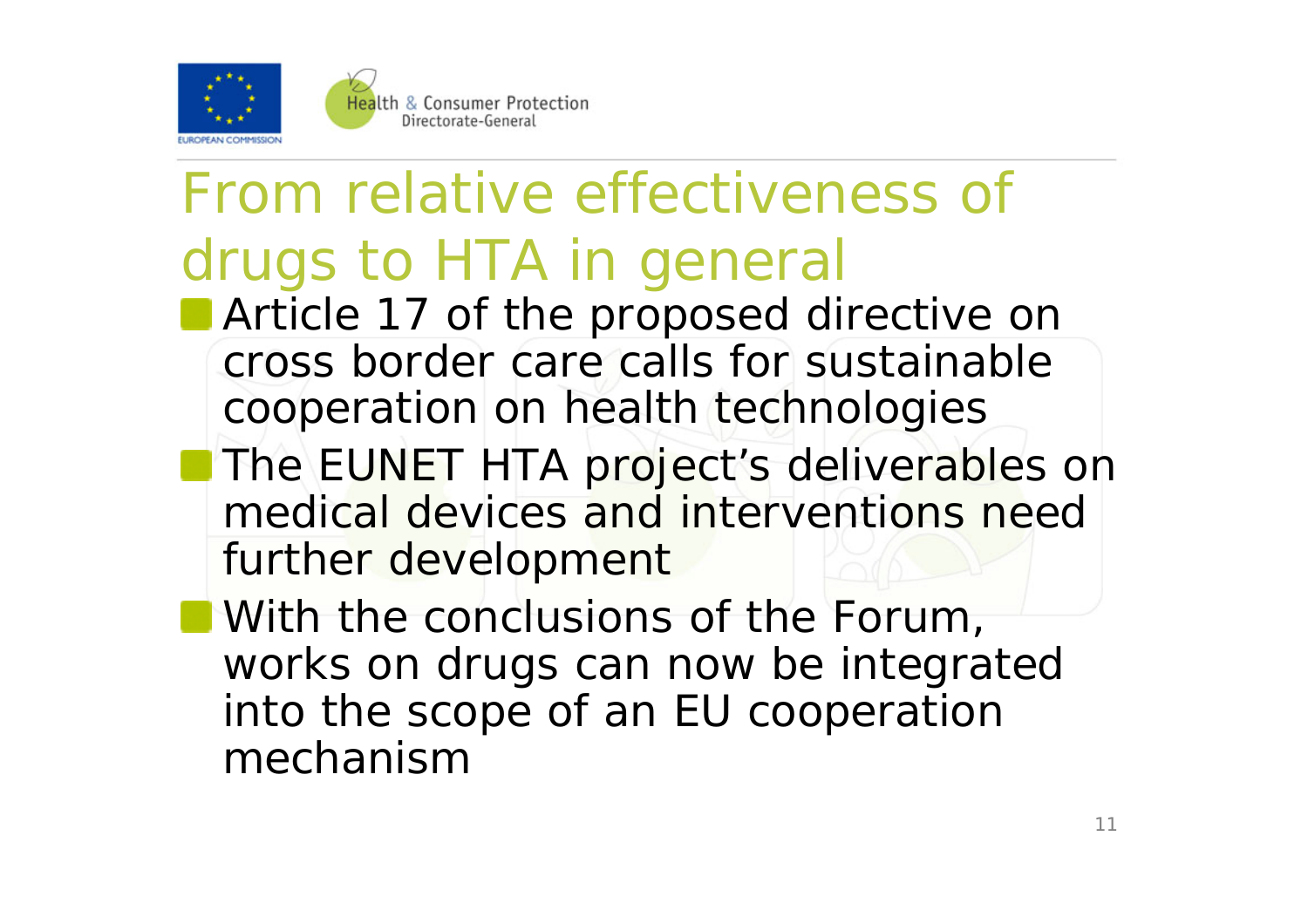

## From relative effectiveness of drugs to HTA in general

- **Article 17 of the proposed directive on** cross border care calls for sustainable cooperation on health technologies
- **The EUNET HTA project's deliverables on** medical devices and interventions need further development
- **With the conclusions of the Forum,** works on drugs can now be integrated into the scope of an EU cooperation mechanism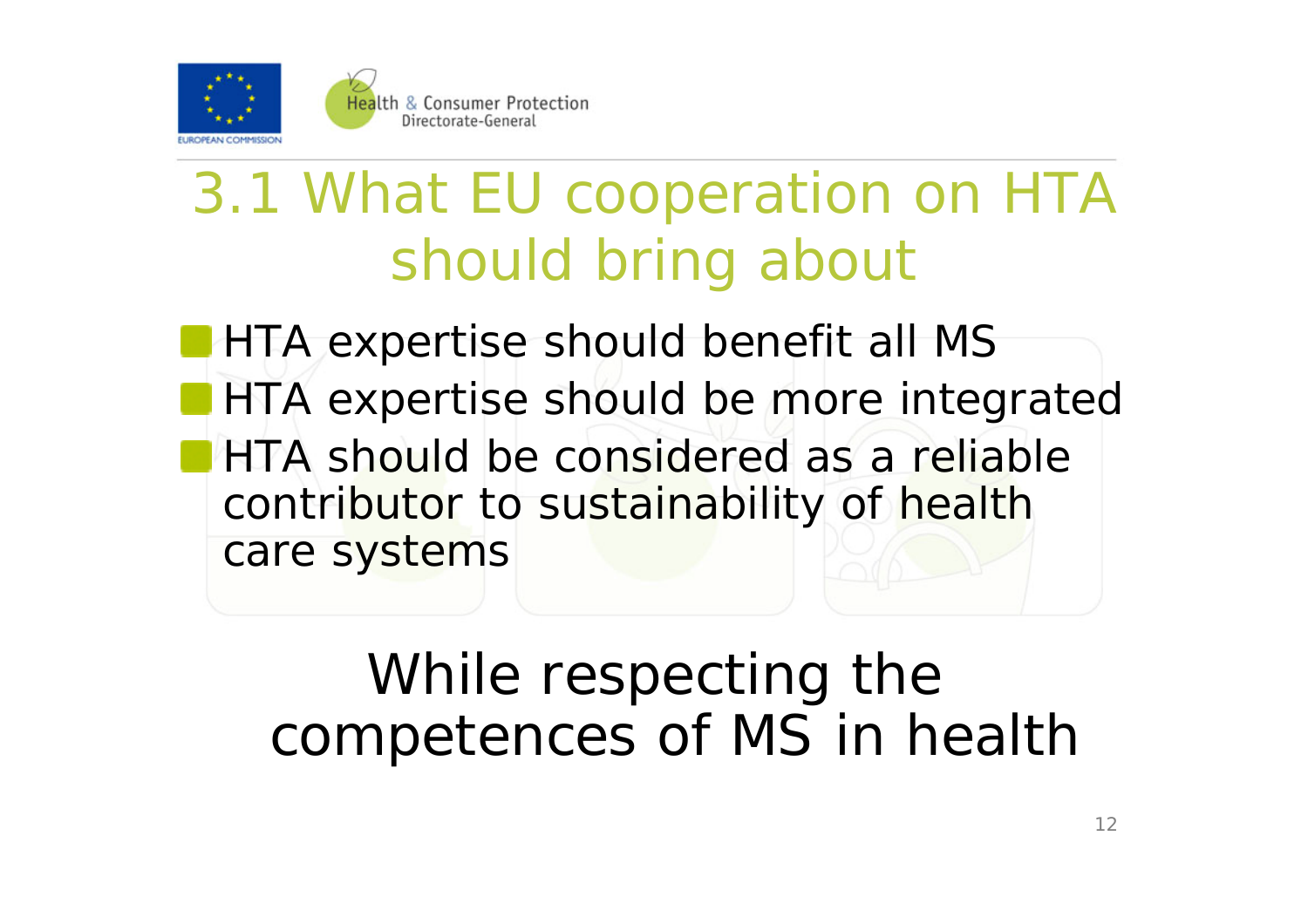

## 3.1 What EU cooperation on HTA should bring about

**HTA expertise should benefit all MS HTA expertise should be more integrated HTA should be considered as a reliable** contributor to sustainability of health care systems

### While respecting the competences of MS in health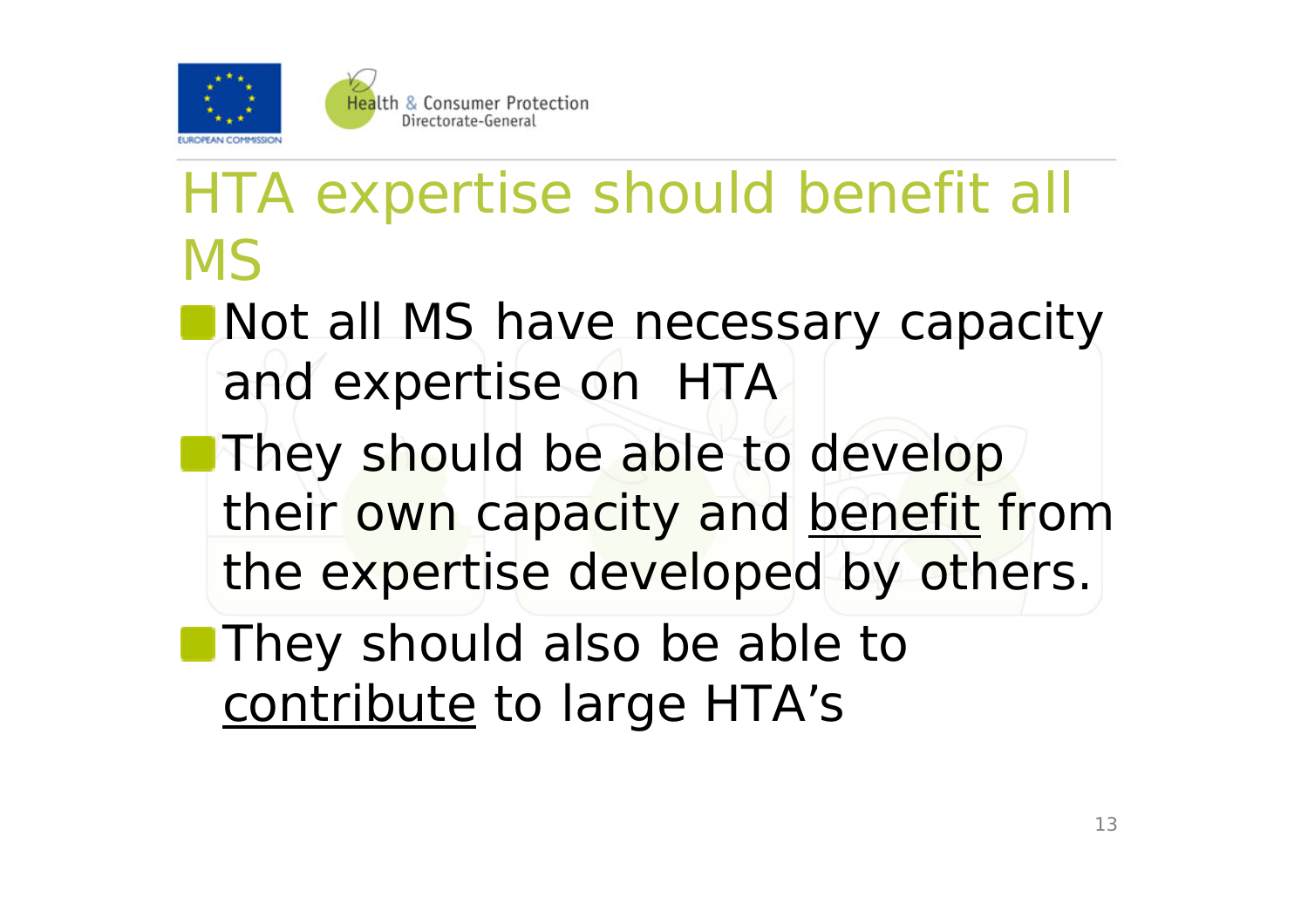

## HTA expertise should benefit all MS

- Not all MS have necessary capacity and expertise on HTA
- They should be able to develop their own capacity and benefit from the expertise developed by others.
- **They should also be able to** contribute to large HTA's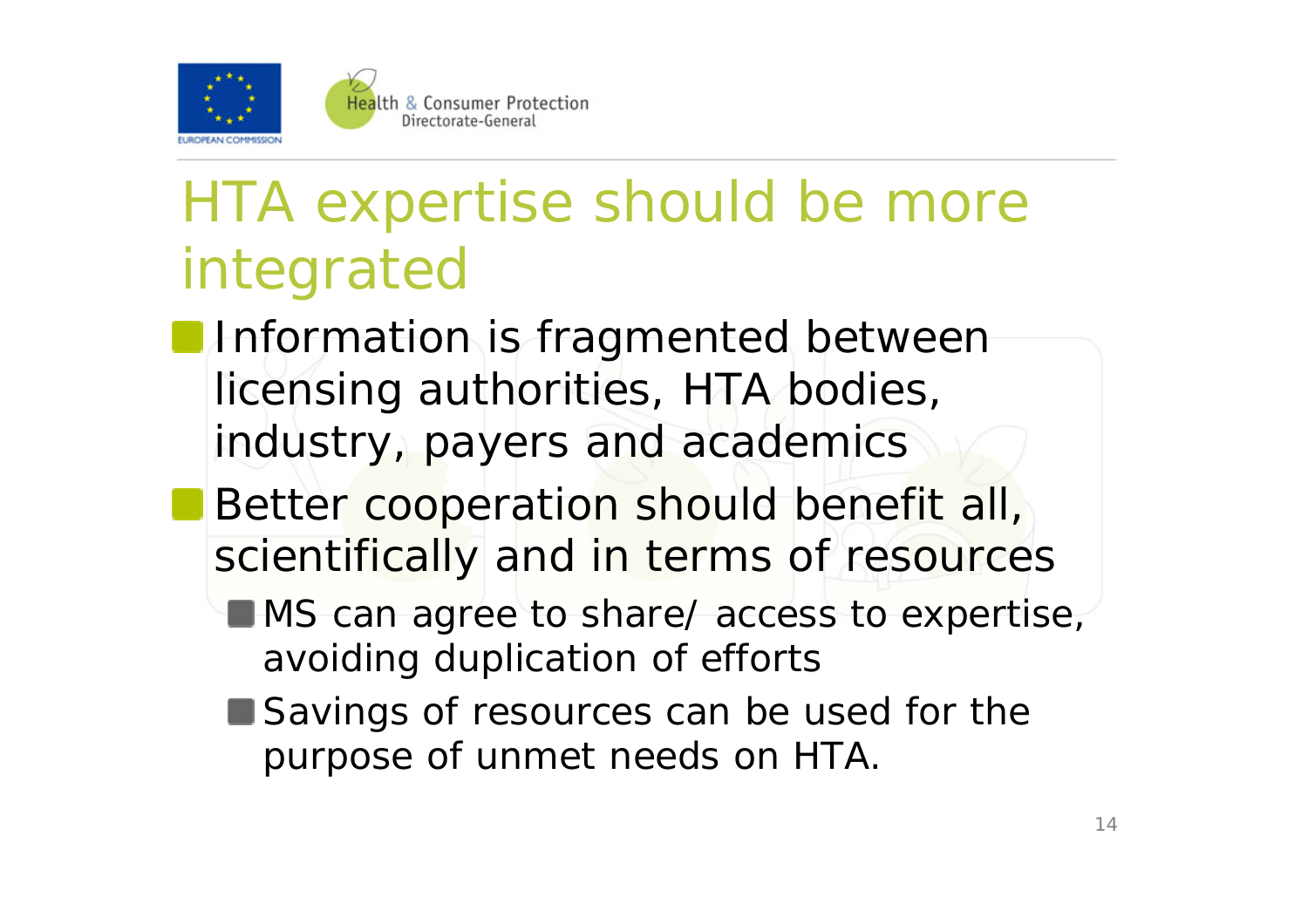

## HTA expertise should be more integrated

- **Information is fragmented between** licensing authorities, HTA bodies, industry, payers and academics
- **Better cooperation should benefit all,** scientifically and in terms of resources
	- **MS** can agree to share/ access to expertise, avoiding duplication of efforts
	- Savings of resources can be used for the purpose of unmet needs on HTA.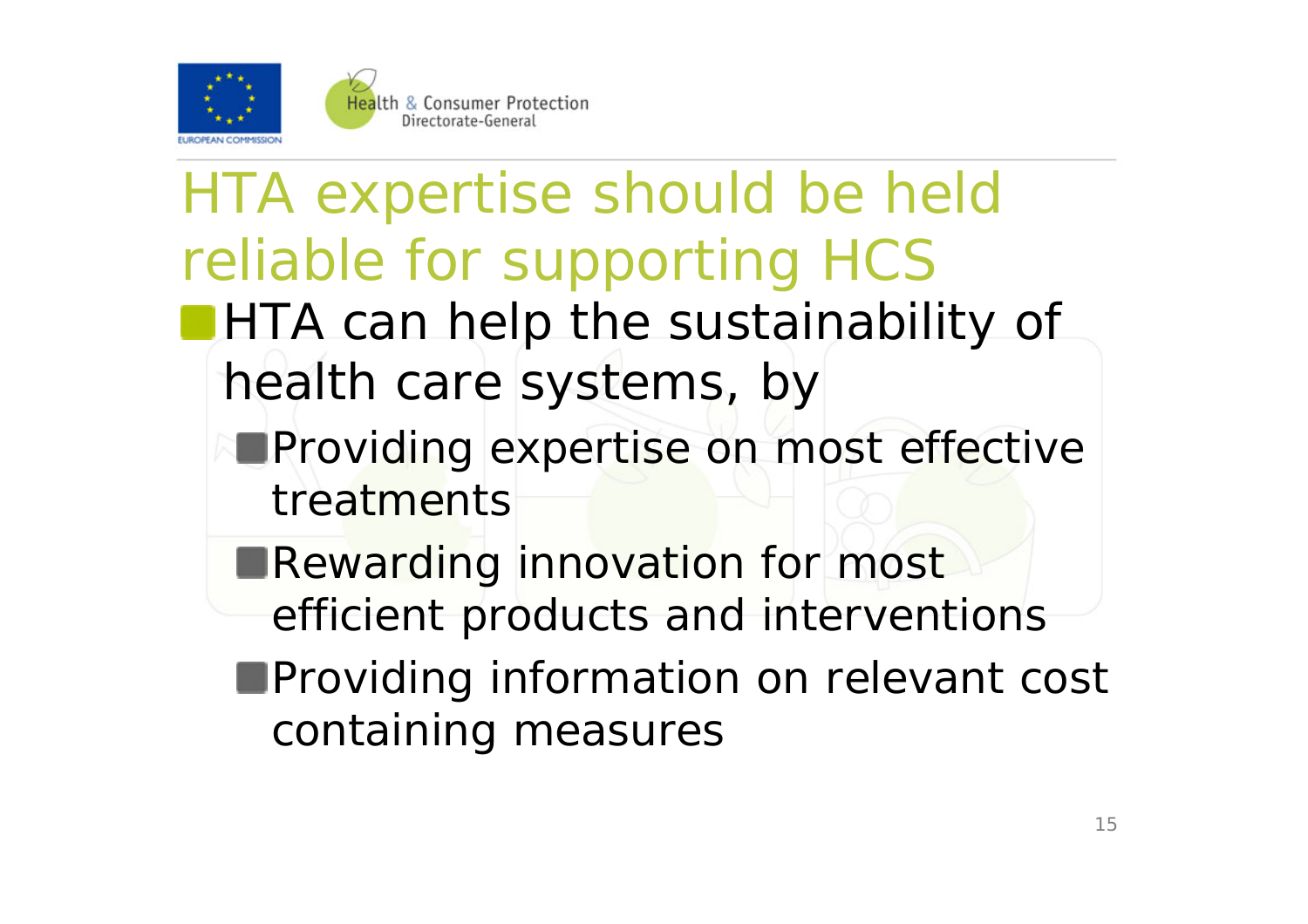

### HTA expertise should be held reliable for supporting HCS **HTA can help the sustainability of** health care systems, by **Providing expertise on most effective** treatments**Rewarding innovation for most** efficient products and interventions **Providing information on relevant cost** containing measures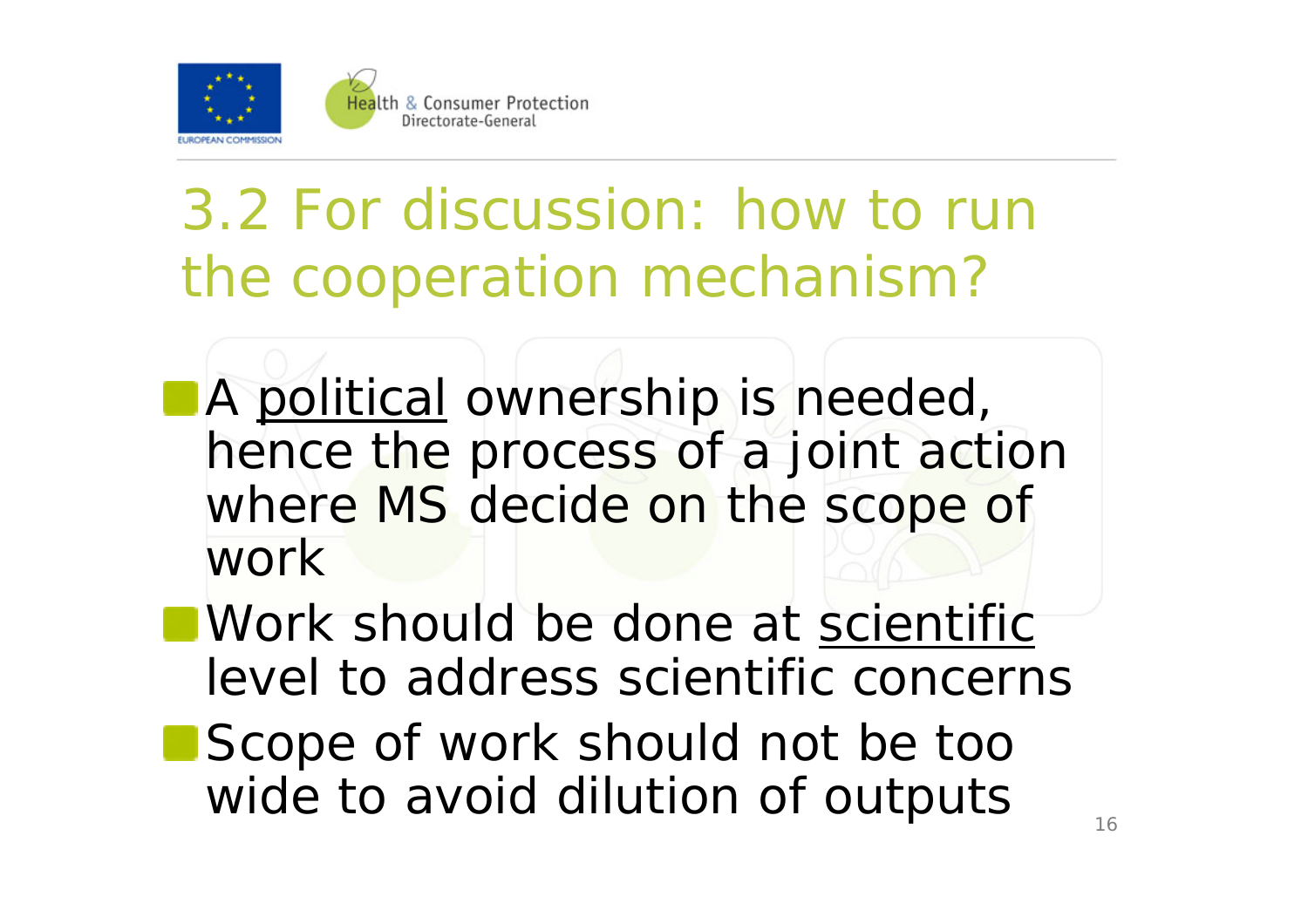

3.2 For discussion: how to run the cooperation mechanism?

- **A political ownership is needed,** hence the process of a joint action where MS decide on the scope of work
- Work should be done at scientific level to address scientific concerns
- Scope of work should not be too wide to avoid dilution of outputs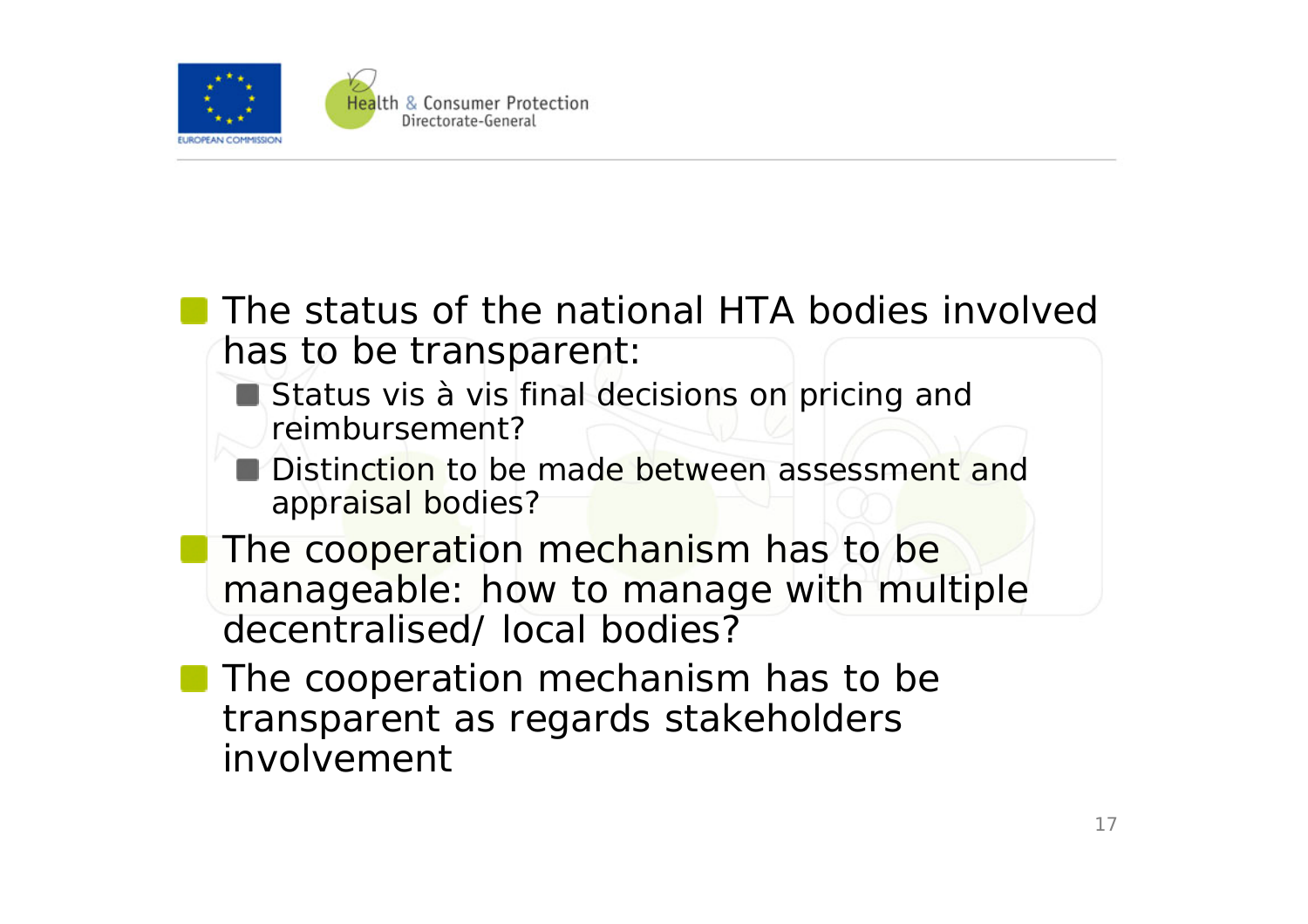

#### The status of the national HTA bodies involved has to be transparent:

- Status vis à vis final decisions on pricing and reimbursement?
- Distinction to be made between assessment and appraisal bodies?
- The cooperation mechanism has to be manageable: how to manage with multiple decentralised/ local bodies?
- The cooperation mechanism has to be transparent as regards stakeholders involvement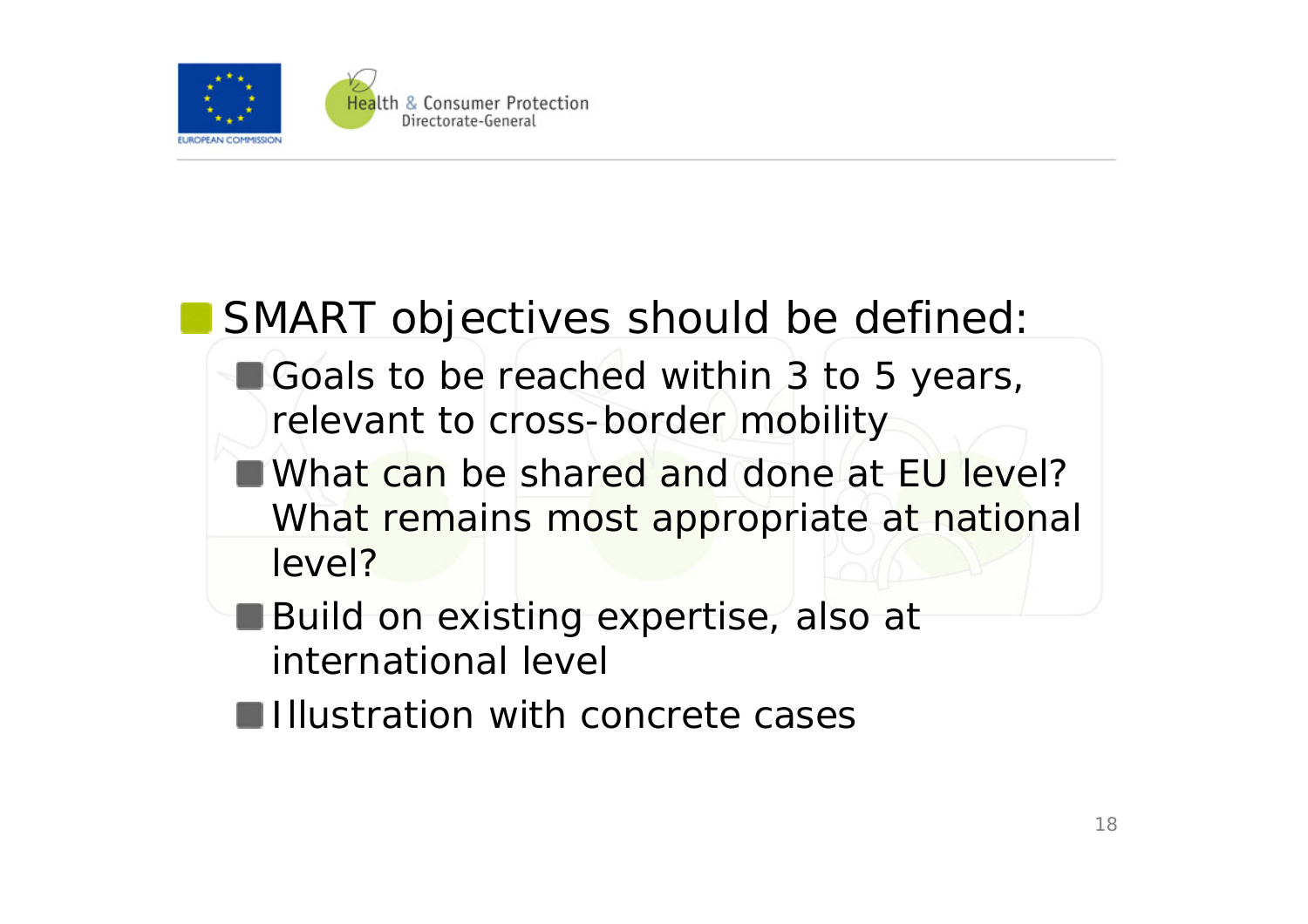

### SMART objectives should be defined:

- Goals to be reached within 3 to 5 years, relevant to cross-border mobility
- What can be shared and done at EU level? What remains most appropriate at national level?
- **Build on existing expertise, also at** international level
- **Illustration with concrete cases**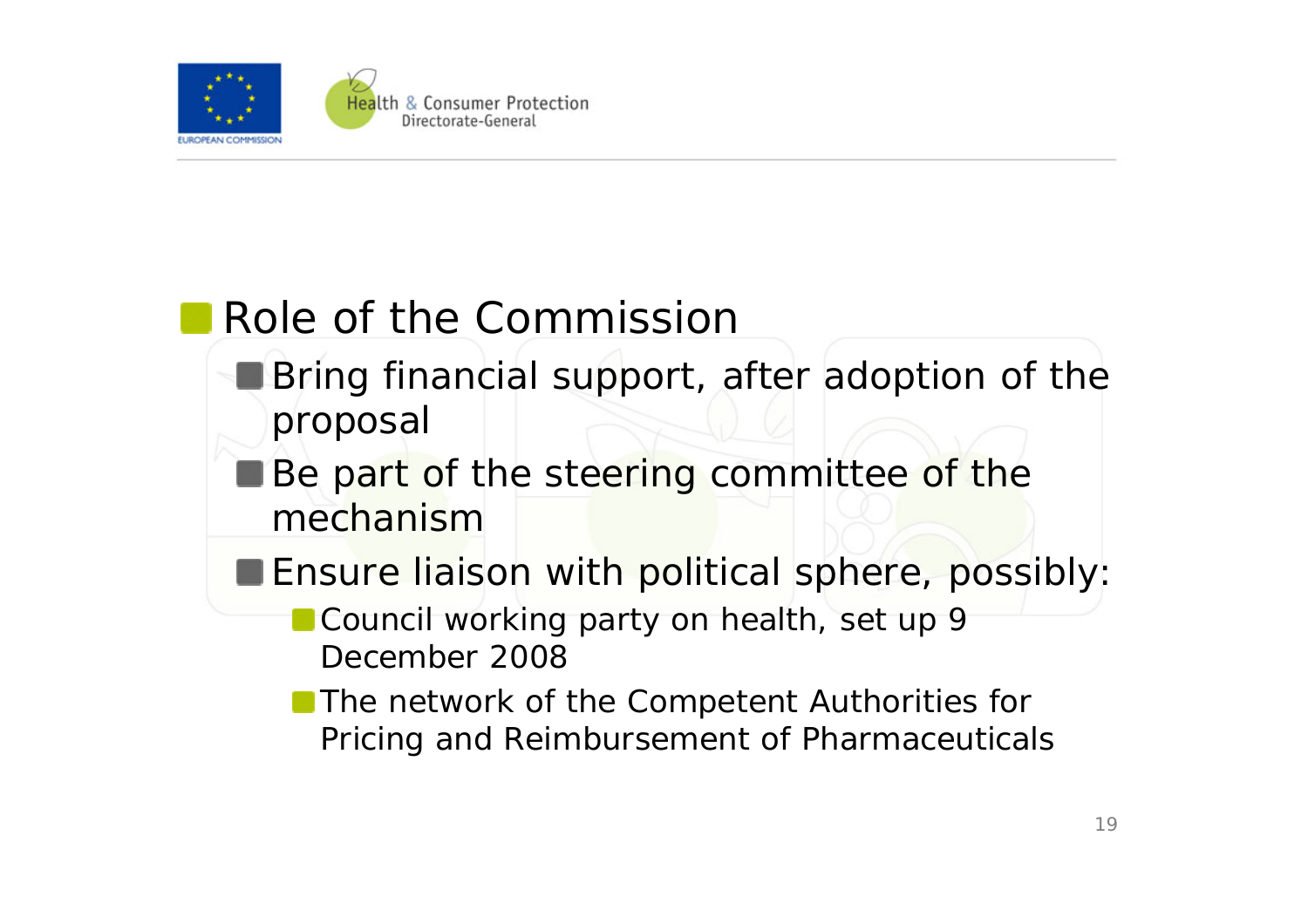

### Role of the Commission

- **Bring financial support, after adoption of the** proposal
- Be part of the steering committee of the mechanism
- **Ensure liaison with political sphere, possibly:** 
	- Council working party on health, set up 9 December 2008
	- **The network of the Competent Authorities for** Pricing and Reimbursement of Pharmaceuticals